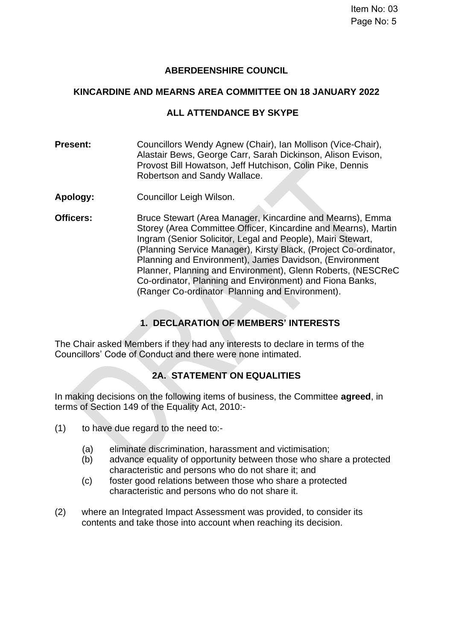# **ABERDEENSHIRE COUNCIL**

### **KINCARDINE AND MEARNS AREA COMMITTEE ON 18 JANUARY 2022**

## **ALL ATTENDANCE BY SKYPE**

**Present:** Councillors Wendy Agnew (Chair), Ian Mollison (Vice-Chair), Alastair Bews, George Carr, Sarah Dickinson, Alison Evison, Provost Bill Howatson, Jeff Hutchison, Colin Pike, Dennis Robertson and Sandy Wallace.

- **Apology:** Councillor Leigh Wilson.
- **Officers:** Bruce Stewart (Area Manager, Kincardine and Mearns), Emma Storey (Area Committee Officer, Kincardine and Mearns), Martin Ingram (Senior Solicitor, Legal and People), Mairi Stewart, (Planning Service Manager), Kirsty Black, (Project Co-ordinator, Planning and Environment), James Davidson, (Environment Planner, Planning and Environment), Glenn Roberts, (NESCReC Co-ordinator, Planning and Environment) and Fiona Banks, (Ranger Co-ordinator Planning and Environment).

# **1. DECLARATION OF MEMBERS' INTERESTS**

The Chair asked Members if they had any interests to declare in terms of the Councillors' Code of Conduct and there were none intimated.

### **2A. STATEMENT ON EQUALITIES**

In making decisions on the following items of business, the Committee **agreed**, in terms of Section 149 of the Equality Act, 2010:-

- (1) to have due regard to the need to:-
	- (a) eliminate discrimination, harassment and victimisation;
	- (b) advance equality of opportunity between those who share a protected characteristic and persons who do not share it; and
	- (c) foster good relations between those who share a protected characteristic and persons who do not share it.
- (2) where an Integrated Impact Assessment was provided, to consider its contents and take those into account when reaching its decision.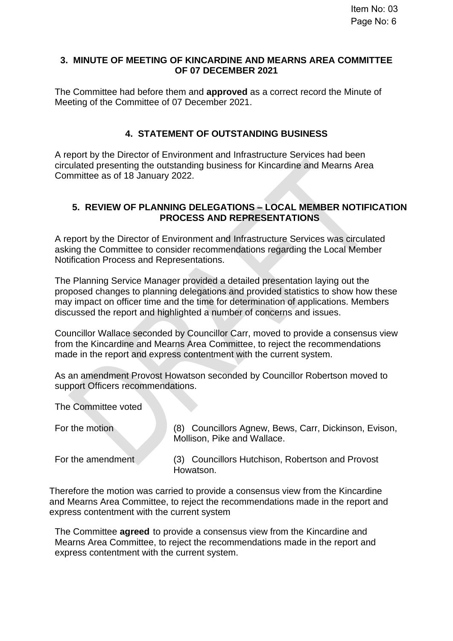#### **3. MINUTE OF MEETING OF KINCARDINE AND MEARNS AREA COMMITTEE OF 07 DECEMBER 2021**

The Committee had before them and **approved** as a correct record the Minute of Meeting of the Committee of 07 December 2021.

# **4. STATEMENT OF OUTSTANDING BUSINESS**

A report by the Director of Environment and Infrastructure Services had been circulated presenting the outstanding business for Kincardine and Mearns Area Committee as of 18 January 2022.

#### **5. REVIEW OF PLANNING DELEGATIONS – LOCAL MEMBER NOTIFICATION PROCESS AND REPRESENTATIONS**

A report by the Director of Environment and Infrastructure Services was circulated asking the Committee to consider recommendations regarding the Local Member Notification Process and Representations.

The Planning Service Manager provided a detailed presentation laying out the proposed changes to planning delegations and provided statistics to show how these may impact on officer time and the time for determination of applications. Members discussed the report and highlighted a number of concerns and issues.

Councillor Wallace seconded by Councillor Carr, moved to provide a consensus view from the Kincardine and Mearns Area Committee, to reject the recommendations made in the report and express contentment with the current system.

As an amendment Provost Howatson seconded by Councillor Robertson moved to support Officers recommendations.

The Committee voted

For the motion (8) Councillors Agnew, Bews, Carr, Dickinson, Evison, Mollison, Pike and Wallace.

For the amendment (3) Councillors Hutchison, Robertson and Provost Howatson.

Therefore the motion was carried to provide a consensus view from the Kincardine and Mearns Area Committee, to reject the recommendations made in the report and express contentment with the current system

The Committee **agreed** to provide a consensus view from the Kincardine and Mearns Area Committee, to reject the recommendations made in the report and express contentment with the current system.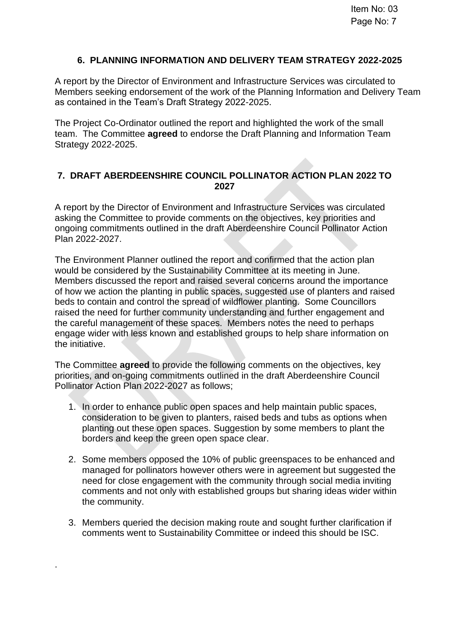# **6. PLANNING INFORMATION AND DELIVERY TEAM STRATEGY 2022-2025**

A report by the Director of Environment and Infrastructure Services was circulated to Members seeking endorsement of the work of the Planning Information and Delivery Team as contained in the Team's Draft Strategy 2022-2025.

The Project Co-Ordinator outlined the report and highlighted the work of the small team. The Committee **agreed** to endorse the Draft Planning and Information Team Strategy 2022-2025.

### **7. DRAFT ABERDEENSHIRE COUNCIL POLLINATOR ACTION PLAN 2022 TO 2027**

A report by the Director of Environment and Infrastructure Services was circulated asking the Committee to provide comments on the objectives, key priorities and ongoing commitments outlined in the draft Aberdeenshire Council Pollinator Action Plan 2022-2027.

The Environment Planner outlined the report and confirmed that the action plan would be considered by the Sustainability Committee at its meeting in June. Members discussed the report and raised several concerns around the importance of how we action the planting in public spaces, suggested use of planters and raised beds to contain and control the spread of wildflower planting. Some Councillors raised the need for further community understanding and further engagement and the careful management of these spaces. Members notes the need to perhaps engage wider with less known and established groups to help share information on the initiative.

The Committee **agreed** to provide the following comments on the objectives, key priorities, and on-going commitments outlined in the draft Aberdeenshire Council Pollinator Action Plan 2022-2027 as follows;

- 1. In order to enhance public open spaces and help maintain public spaces, consideration to be given to planters, raised beds and tubs as options when planting out these open spaces. Suggestion by some members to plant the borders and keep the green open space clear.
- 2. Some members opposed the 10% of public greenspaces to be enhanced and managed for pollinators however others were in agreement but suggested the need for close engagement with the community through social media inviting comments and not only with established groups but sharing ideas wider within the community.
- 3. Members queried the decision making route and sought further clarification if comments went to Sustainability Committee or indeed this should be ISC.

.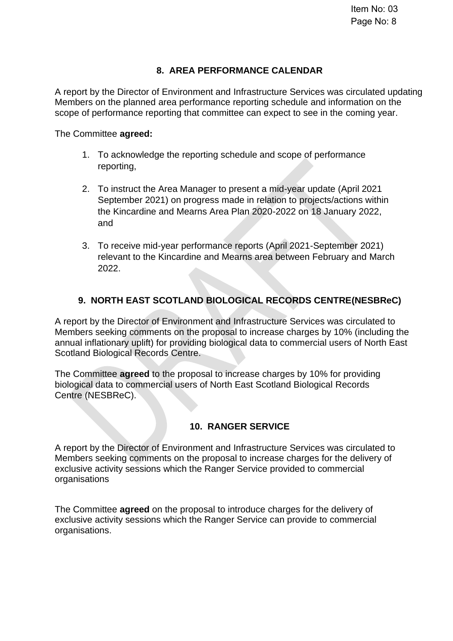## **8. AREA PERFORMANCE CALENDAR**

A report by the Director of Environment and Infrastructure Services was circulated updating Members on the planned area performance reporting schedule and information on the scope of performance reporting that committee can expect to see in the coming year.

The Committee **agreed:**

- 1. To acknowledge the reporting schedule and scope of performance reporting,
- 2. To instruct the Area Manager to present a mid-year update (April 2021 September 2021) on progress made in relation to projects/actions within the Kincardine and Mearns Area Plan 2020-2022 on 18 January 2022, and
- 3. To receive mid-year performance reports (April 2021-September 2021) relevant to the Kincardine and Mearns area between February and March 2022.

# **9. NORTH EAST SCOTLAND BIOLOGICAL RECORDS CENTRE(NESBReC)**

A report by the Director of Environment and Infrastructure Services was circulated to Members seeking comments on the proposal to increase charges by 10% (including the annual inflationary uplift) for providing biological data to commercial users of North East Scotland Biological Records Centre.

The Committee **agreed** to the proposal to increase charges by 10% for providing biological data to commercial users of North East Scotland Biological Records Centre (NESBReC).

### **10. RANGER SERVICE**

A report by the Director of Environment and Infrastructure Services was circulated to Members seeking comments on the proposal to increase charges for the delivery of exclusive activity sessions which the Ranger Service provided to commercial organisations

The Committee **agreed** on the proposal to introduce charges for the delivery of exclusive activity sessions which the Ranger Service can provide to commercial organisations.